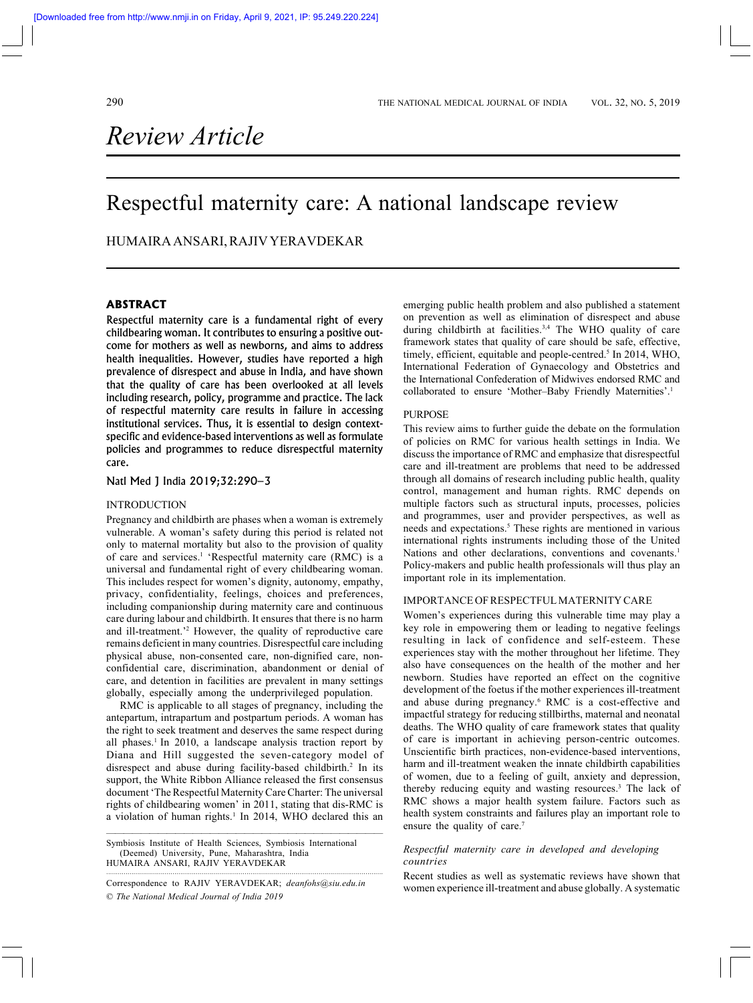# *Review Article*

## Respectful maternity care: A national landscape review

## HUMAIRA ANSARI, RAJIV YERAVDEKAR

## **ABSTRACT**

Respectful maternity care is a fundamental right of every childbearing woman. It contributes to ensuring a positive outcome for mothers as well as newborns, and aims to address health inequalities. However, studies have reported a high prevalence of disrespect and abuse in India, and have shown that the quality of care has been overlooked at all levels including research, policy, programme and practice. The lack of respectful maternity care results in failure in accessing institutional services. Thus, it is essential to design contextspecific and evidence-based interventions as well as formulate policies and programmes to reduce disrespectful maternity care.

## Natl Med J India 2019;32:290–3

#### INTRODUCTION

Pregnancy and childbirth are phases when a woman is extremely vulnerable. A woman's safety during this period is related not only to maternal mortality but also to the provision of quality of care and services.<sup>1</sup> 'Respectful maternity care (RMC) is a universal and fundamental right of every childbearing woman. This includes respect for women's dignity, autonomy, empathy, privacy, confidentiality, feelings, choices and preferences, including companionship during maternity care and continuous care during labour and childbirth. It ensures that there is no harm and ill-treatment.'2 However, the quality of reproductive care remains deficient in many countries. Disrespectful care including physical abuse, non-consented care, non-dignified care, nonconfidential care, discrimination, abandonment or denial of care, and detention in facilities are prevalent in many settings globally, especially among the underprivileged population.

RMC is applicable to all stages of pregnancy, including the antepartum, intrapartum and postpartum periods. A woman has the right to seek treatment and deserves the same respect during all phases.<sup>1</sup> In 2010, a landscape analysis traction report by Diana and Hill suggested the seven-category model of disrespect and abuse during facility-based childbirth.<sup>2</sup> In its support, the White Ribbon Alliance released the first consensus document 'The Respectful Maternity Care Charter: The universal rights of childbearing women' in 2011, stating that dis-RMC is a violation of human rights.<sup>1</sup> In 2014, WHO declared this an

————————————————————————————————

Symbiosis Institute of Health Sciences, Symbiosis International (Deemed) University, Pune, Maharashtra, India HUMAIRA ANSARI, RAJIV YERAVDEKAR

© *The National Medical Journal of India 2019* ·············································································································································· Correspondence to RAJIV YERAVDEKAR; *deanfohs@siu.edu.in*

emerging public health problem and also published a statement on prevention as well as elimination of disrespect and abuse during childbirth at facilities.<sup>3,4</sup> The WHO quality of care framework states that quality of care should be safe, effective, timely, efficient, equitable and people-centred.<sup>5</sup> In 2014, WHO, International Federation of Gynaecology and Obstetrics and the International Confederation of Midwives endorsed RMC and collaborated to ensure 'Mother-Baby Friendly Maternities'.<sup>1</sup>

#### PURPOSE

This review aims to further guide the debate on the formulation of policies on RMC for various health settings in India. We discuss the importance of RMC and emphasize that disrespectful care and ill-treatment are problems that need to be addressed through all domains of research including public health, quality control, management and human rights. RMC depends on multiple factors such as structural inputs, processes, policies and programmes, user and provider perspectives, as well as needs and expectations.<sup>5</sup> These rights are mentioned in various international rights instruments including those of the United Nations and other declarations, conventions and covenants.<sup>1</sup> Policy-makers and public health professionals will thus play an important role in its implementation.

## IMPORTANCE OF RESPECTFUL MATERNITY CARE

Women's experiences during this vulnerable time may play a key role in empowering them or leading to negative feelings resulting in lack of confidence and self-esteem. These experiences stay with the mother throughout her lifetime. They also have consequences on the health of the mother and her newborn. Studies have reported an effect on the cognitive development of the foetus if the mother experiences ill-treatment and abuse during pregnancy.<sup>6</sup> RMC is a cost-effective and impactful strategy for reducing stillbirths, maternal and neonatal deaths. The WHO quality of care framework states that quality of care is important in achieving person-centric outcomes. Unscientific birth practices, non-evidence-based interventions, harm and ill-treatment weaken the innate childbirth capabilities of women, due to a feeling of guilt, anxiety and depression, thereby reducing equity and wasting resources.<sup>3</sup> The lack of RMC shows a major health system failure. Factors such as health system constraints and failures play an important role to ensure the quality of care.<sup>7</sup>

## *Respectful maternity care in developed and developing countries*

Recent studies as well as systematic reviews have shown that women experience ill-treatment and abuse globally. A systematic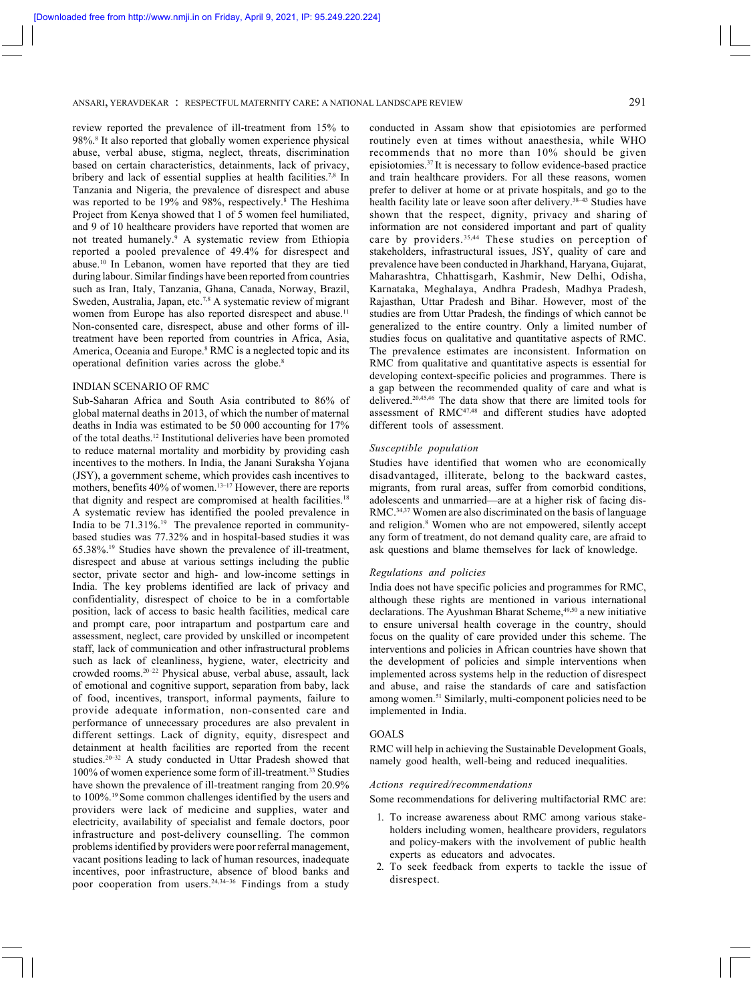ANSARI, YERAVDEKAR : RESPECTFUL MATERNITY CARE: A NATIONAL LANDSCAPE REVIEW 291

review reported the prevalence of ill-treatment from 15% to 98%.8 It also reported that globally women experience physical abuse, verbal abuse, stigma, neglect, threats, discrimination based on certain characteristics, detainments, lack of privacy, bribery and lack of essential supplies at health facilities.7,8 In Tanzania and Nigeria, the prevalence of disrespect and abuse was reported to be 19% and 98%, respectively.<sup>8</sup> The Heshima Project from Kenya showed that 1 of 5 women feel humiliated, and 9 of 10 healthcare providers have reported that women are not treated humanely.9 A systematic review from Ethiopia reported a pooled prevalence of 49.4% for disrespect and abuse.10 In Lebanon, women have reported that they are tied during labour. Similar findings have been reported from countries such as Iran, Italy, Tanzania, Ghana, Canada, Norway, Brazil, Sweden, Australia, Japan, etc.<sup>7,8</sup> A systematic review of migrant women from Europe has also reported disrespect and abuse.<sup>11</sup> Non-consented care, disrespect, abuse and other forms of illtreatment have been reported from countries in Africa, Asia, America, Oceania and Europe.<sup>8</sup> RMC is a neglected topic and its operational definition varies across the globe.8

#### INDIAN SCENARIO OF RMC

Sub-Saharan Africa and South Asia contributed to 86% of global maternal deaths in 2013, of which the number of maternal deaths in India was estimated to be 50 000 accounting for 17% of the total deaths.12 Institutional deliveries have been promoted to reduce maternal mortality and morbidity by providing cash incentives to the mothers. In India, the Janani Suraksha Yojana (JSY), a government scheme, which provides cash incentives to mothers, benefits 40% of women.<sup>13–17</sup> However, there are reports that dignity and respect are compromised at health facilities.<sup>18</sup> A systematic review has identified the pooled prevalence in India to be  $71.31\%$ .<sup>19</sup> The prevalence reported in communitybased studies was 77.32% and in hospital-based studies it was 65.38%.19 Studies have shown the prevalence of ill-treatment, disrespect and abuse at various settings including the public sector, private sector and high- and low-income settings in India. The key problems identified are lack of privacy and confidentiality, disrespect of choice to be in a comfortable position, lack of access to basic health facilities, medical care and prompt care, poor intrapartum and postpartum care and assessment, neglect, care provided by unskilled or incompetent staff, lack of communication and other infrastructural problems such as lack of cleanliness, hygiene, water, electricity and crowded rooms.20–22 Physical abuse, verbal abuse, assault, lack of emotional and cognitive support, separation from baby, lack of food, incentives, transport, informal payments, failure to provide adequate information, non-consented care and performance of unnecessary procedures are also prevalent in different settings. Lack of dignity, equity, disrespect and detainment at health facilities are reported from the recent studies.<sup>20–32</sup> A study conducted in Uttar Pradesh showed that 100% of women experience some form of ill-treatment.33 Studies have shown the prevalence of ill-treatment ranging from 20.9% to 100%.19 Some common challenges identified by the users and providers were lack of medicine and supplies, water and electricity, availability of specialist and female doctors, poor infrastructure and post-delivery counselling. The common problems identified by providers were poor referral management, vacant positions leading to lack of human resources, inadequate incentives, poor infrastructure, absence of blood banks and poor cooperation from users.<sup>24,34-36</sup> Findings from a study

conducted in Assam show that episiotomies are performed routinely even at times without anaesthesia, while WHO recommends that no more than 10% should be given episiotomies.37 It is necessary to follow evidence-based practice and train healthcare providers. For all these reasons, women prefer to deliver at home or at private hospitals, and go to the health facility late or leave soon after delivery.<sup>38-43</sup> Studies have shown that the respect, dignity, privacy and sharing of information are not considered important and part of quality care by providers.<sup>35,44</sup> These studies on perception of stakeholders, infrastructural issues, JSY, quality of care and prevalence have been conducted in Jharkhand, Haryana, Gujarat, Maharashtra, Chhattisgarh, Kashmir, New Delhi, Odisha, Karnataka, Meghalaya, Andhra Pradesh, Madhya Pradesh, Rajasthan, Uttar Pradesh and Bihar. However, most of the studies are from Uttar Pradesh, the findings of which cannot be generalized to the entire country. Only a limited number of studies focus on qualitative and quantitative aspects of RMC. The prevalence estimates are inconsistent. Information on RMC from qualitative and quantitative aspects is essential for developing context-specific policies and programmes. There is a gap between the recommended quality of care and what is delivered.20,45,46 The data show that there are limited tools for assessment of RMC47,48 and different studies have adopted different tools of assessment.

## *Susceptible population*

Studies have identified that women who are economically disadvantaged, illiterate, belong to the backward castes, migrants, from rural areas, suffer from comorbid conditions, adolescents and unmarried—are at a higher risk of facing dis-RMC.34,37 Women are also discriminated on the basis of language and religion.<sup>8</sup> Women who are not empowered, silently accept any form of treatment, do not demand quality care, are afraid to ask questions and blame themselves for lack of knowledge.

#### *Regulations and policies*

India does not have specific policies and programmes for RMC, although these rights are mentioned in various international declarations. The Ayushman Bharat Scheme, 49,50 a new initiative to ensure universal health coverage in the country, should focus on the quality of care provided under this scheme. The interventions and policies in African countries have shown that the development of policies and simple interventions when implemented across systems help in the reduction of disrespect and abuse, and raise the standards of care and satisfaction among women.51 Similarly, multi-component policies need to be implemented in India.

#### GOALS

RMC will help in achieving the Sustainable Development Goals, namely good health, well-being and reduced inequalities.

#### *Actions required/recommendations*

Some recommendations for delivering multifactorial RMC are:

- 1. To increase awareness about RMC among various stakeholders including women, healthcare providers, regulators and policy-makers with the involvement of public health experts as educators and advocates.
- 2. To seek feedback from experts to tackle the issue of disrespect.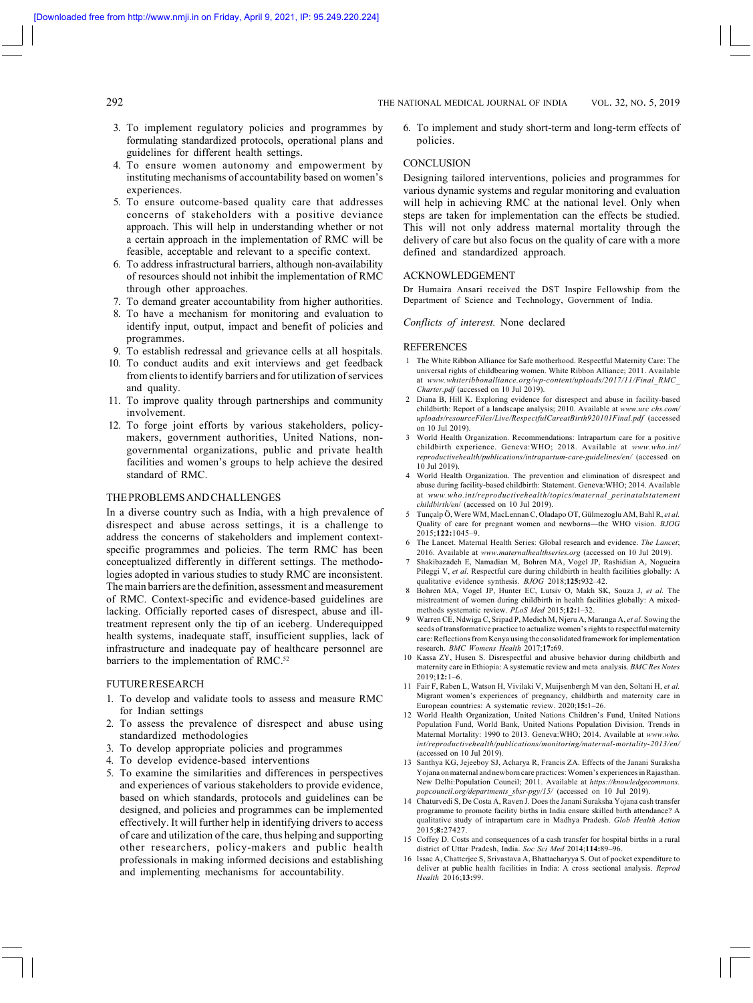## 292 THE NATIONAL MEDICAL JOURNAL OF INDIA VOL. 32, NO. 5, 2019

- 3. To implement regulatory policies and programmes by formulating standardized protocols, operational plans and guidelines for different health settings.
- 4. To ensure women autonomy and empowerment by instituting mechanisms of accountability based on women's experiences.
- 5. To ensure outcome-based quality care that addresses concerns of stakeholders with a positive deviance approach. This will help in understanding whether or not a certain approach in the implementation of RMC will be feasible, acceptable and relevant to a specific context.
- 6. To address infrastructural barriers, although non-availability of resources should not inhibit the implementation of RMC through other approaches.
- 7. To demand greater accountability from higher authorities.
- To have a mechanism for monitoring and evaluation to identify input, output, impact and benefit of policies and programmes.
- 9. To establish redressal and grievance cells at all hospitals.
- 10. To conduct audits and exit interviews and get feedback from clients to identify barriers and for utilization of services and quality.
- 11. To improve quality through partnerships and community involvement.
- 12. To forge joint efforts by various stakeholders, policymakers, government authorities, United Nations, nongovernmental organizations, public and private health facilities and women's groups to help achieve the desired standard of RMC.

## THE PROBLEMS AND CHALLENGES

In a diverse country such as India, with a high prevalence of disrespect and abuse across settings, it is a challenge to address the concerns of stakeholders and implement contextspecific programmes and policies. The term RMC has been conceptualized differently in different settings. The methodologies adopted in various studies to study RMC are inconsistent. The main barriers are the definition, assessment and measurement of RMC. Context-specific and evidence-based guidelines are lacking. Officially reported cases of disrespect, abuse and illtreatment represent only the tip of an iceberg. Underequipped health systems, inadequate staff, insufficient supplies, lack of infrastructure and inadequate pay of healthcare personnel are barriers to the implementation of RMC.<sup>52</sup>

#### FUTURE RESEARCH

- 1. To develop and validate tools to assess and measure RMC for Indian settings
- 2. To assess the prevalence of disrespect and abuse using standardized methodologies
- 3. To develop appropriate policies and programmes
- 4. To develop evidence-based interventions
- 5. To examine the similarities and differences in perspectives and experiences of various stakeholders to provide evidence, based on which standards, protocols and guidelines can be designed, and policies and programmes can be implemented effectively. It will further help in identifying drivers to access of care and utilization of the care, thus helping and supporting other researchers, policy-makers and public health professionals in making informed decisions and establishing and implementing mechanisms for accountability.

6. To implement and study short-term and long-term effects of policies.

## **CONCLUSION**

Designing tailored interventions, policies and programmes for various dynamic systems and regular monitoring and evaluation will help in achieving RMC at the national level. Only when steps are taken for implementation can the effects be studied. This will not only address maternal mortality through the delivery of care but also focus on the quality of care with a more defined and standardized approach.

#### ACKNOWLEDGEMENT

Dr Humaira Ansari received the DST Inspire Fellowship from the Department of Science and Technology, Government of India.

*Conflicts of interest.* None declared

#### **REFERENCES**

- 1 The White Ribbon Alliance for Safe motherhood. Respectful Maternity Care: The universal rights of childbearing women. White Ribbon Alliance; 2011. Available at *www.whiteribbonalliance.org/wp-content/uploads/2017/11/Final\_RMC\_ Charter.pdf* (accessed on 10 Jul 2019).
- 2 Diana B, Hill K. Exploring evidence for disrespect and abuse in facility-based childbirth: Report of a landscape analysis; 2010. Available at *www.urc chs.com/ uploads/resourceFiles/Live/RespectfulCareatBirth920101Final.pdf* (accessed on 10 Jul 2019).
- 3 World Health Organization. Recommendations: Intrapartum care for a positive childbirth experience. Geneva:WHO; 2018. Available at *www.who.int/ reproductivehealth/publications/intrapartum-care-guidelines/en/* (accessed on 10 Jul 2019).
- 4 World Health Organization. The prevention and elimination of disrespect and abuse during facility-based childbirth: Statement. Geneva:WHO; 2014. Available at *www.who.int/reproductivehealth/topics/maternal\_perinatalstatement childbirth/en*/ (accessed on 10 Jul 2019).
- 5 Tunçalp Ö, Were WM, MacLennan C, Oladapo OT, Gülmezoglu AM, Bahl R, *et al.* Quality of care for pregnant women and newborns—the WHO vision. *BJOG* 2015;**122:**1045–9.
- 6 The Lancet. Maternal Health Series: Global research and evidence. *The Lancet*; 2016. Available at *www.maternalhealthseries.org* (accessed on 10 Jul 2019).
- 7 Shakibazadeh E, Namadian M, Bohren MA, Vogel JP, Rashidian A, Nogueira Pileggi V, et al. Respectful care during childbirth in health facilities globally: A qualitative evidence synthesis. *BJOG* 2018;**125:**932–42.
- 8 Bohren MA, Vogel JP, Hunter EC, Lutsiv O, Makh SK, Souza J, *et al.* The mistreatment of women during childbirth in health facilities globally: A mixedmethods systematic review. *PLoS Med* 2015;**12:**1–32.
- 9 Warren CE, Ndwiga C, Sripad P, Medich M, Njeru A, Maranga A, *et al.* Sowing the seeds of transformative practice to actualize women's rights to respectful maternity care: Reflections from Kenya using the consolidated framework for implementation research. *BMC Womens Health* 2017;**17:**69.
- 10 Kassa ZY, Husen S. Disrespectful and abusive behavior during childbirth and maternity care in Ethiopia: A systematic review and meta analysis. *BMC Res Notes* 2019;**12:**1–6.
- 11 Fair F, Raben L, Watson H, Vivilaki V, Muijsenbergh M van den, Soltani H, *et al.* Migrant women's experiences of pregnancy, childbirth and maternity care in European countries: A systematic review. 2020;**15:**1–26.
- 12 World Health Organization, United Nations Children's Fund, United Nations Population Fund, World Bank, United Nations Population Division. Trends in Maternal Mortality: 1990 to 2013. Geneva:WHO; 2014. Available at *www.who. int/reproductivehealth/publications/monitoring/maternal-mortality-2013/en/* (accessed on 10 Jul 2019).
- 13 Santhya KG, Jejeeboy SJ, Acharya R, Francis ZA. Effects of the Janani Suraksha Yojana on maternal and newborn care practices: Women's experiences in Rajasthan. New Delhi:Population Council; 2011. Available at https://knowledgeco. *popcouncil.org/departments\_sbsr-pgy/15/* (accessed on 10 Jul 2019).
- 14 Chaturvedi S, De Costa A, Raven J. Does the Janani Suraksha Yojana cash transfer programme to promote facility births in India ensure skilled birth attendance? A qualitative study of intrapartum care in Madhya Pradesh. *Glob Health Action* 2015;**8:**27427.
- 15 Coffey D. Costs and consequences of a cash transfer for hospital births in a rural district of Uttar Pradesh, India. *Soc Sci Med* 2014;**114:**89–96.
- 16 Issac A, Chatterjee S, Srivastava A, Bhattacharyya S. Out of pocket expenditure to deliver at public health facilities in India: A cross sectional analysis. *Reprod Health* 2016;**13:**99.